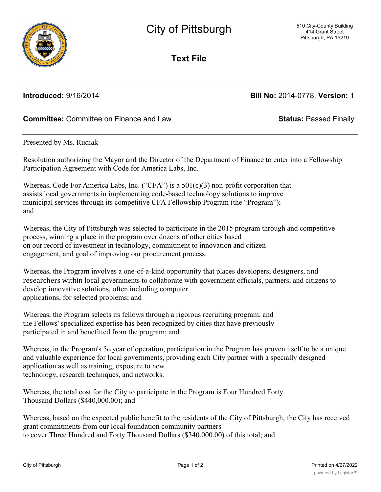

**Text File**

**Introduced:** 9/16/2014 **Bill No:** 2014-0778, **Version:** 1

# **Committee:** Committee on Finance and Law **Status:** Passed Finally

Presented by Ms. Rudiak

Resolution authorizing the Mayor and the Director of the Department of Finance to enter into a Fellowship Participation Agreement with Code for America Labs, Inc.

Whereas, Code For America Labs, Inc. ("CFA") is a  $501(c)(3)$  non-profit corporation that assists local governments in implementing code-based technology solutions to improve municipal services through its competitive CFA Fellowship Program (the "Program"); and

Whereas, the City of Pittsburgh was selected to participate in the 2015 program through and competitive process, winning a place in the program over dozens of other cities based on our record of investment in technology, commitment to innovation and citizen engagement, and goal of improving our procurement process.

Whereas, the Program involves a one-of-a-kind opportunity that places developers, designers, and researchers within local governments to collaborate with government officials, partners, and citizens to develop innovative solutions, often including computer applications, for selected problems; and

Whereas, the Program selects its fellows through a rigorous recruiting program, and the Fellows' specialized expertise has been recognized by cities that have previously participated in and benefitted from the program; and

Whereas, in the Program's 5th year of operation, participation in the Program has proven itself to be a unique and valuable experience for local governments, providing each City partner with a specially designed application as well as training, exposure to new technology, research techniques, and networks.

Whereas, the total cost for the City to participate in the Program is Four Hundred Forty Thousand Dollars (\$440,000.00); and

Whereas, based on the expected public benefit to the residents of the City of Pittsburgh, the City has received grant commitments from our local foundation community partners to cover Three Hundred and Forty Thousand Dollars (\$340,000.00) of this total; and